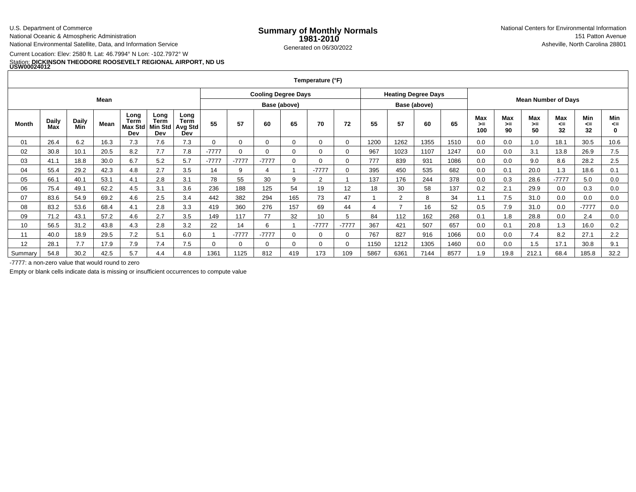U.S. Department of Commerce

National Oceanic & Atmospheric AdministrationNational Environmental Satellite, Data, and Information Service

Current Location: Elev: 2580 ft. Lat: 46.7994° N Lon: -102.7972° W

## Station: **DICKINSON THEODORE ROOSEVELT REGIONAL AIRPORT, ND US USW00024012**

|             |              |              |      |                                       |                                       |                                |              |                            |          |          | Temperature (°F) |          |              |                            |      |      |                  |                            |                   |                 |                 |                          |
|-------------|--------------|--------------|------|---------------------------------------|---------------------------------------|--------------------------------|--------------|----------------------------|----------|----------|------------------|----------|--------------|----------------------------|------|------|------------------|----------------------------|-------------------|-----------------|-----------------|--------------------------|
|             |              |              |      |                                       |                                       |                                |              | <b>Cooling Degree Days</b> |          |          |                  |          |              | <b>Heating Degree Days</b> |      |      |                  | <b>Mean Number of Days</b> |                   |                 |                 |                          |
| <b>Mean</b> |              |              |      |                                       |                                       |                                | Base (above) |                            |          |          |                  |          | Base (above) |                            |      |      |                  |                            |                   |                 |                 |                          |
| Month       | Daily<br>Max | Daily<br>Min | Mean | Long<br>Term<br><b>Max Std</b><br>Dev | Long<br><b>Term</b><br>Min Std<br>Dev | Long<br>Term<br>Avg Std<br>Dev | 55           | 57                         | 60       | 65       | 70               | 72       | 55           | 57                         | 60   | 65   | Max<br>>=<br>100 | Max<br>>≕<br>90            | Max<br>$>=$<br>50 | Max<br><=<br>32 | Min<br><=<br>32 | Min<br><=<br>$\mathbf 0$ |
| 01          | 26.4         | 6.2          | 16.3 | 7.3                                   | 7.6                                   | 7.3                            |              | 0                          | $\Omega$ | 0        | 0                | 0        | 1200         | 1262                       | 1355 | 1510 | 0.0              | 0.0                        | 1.0               | 18.1            | 30.5            | 10.6                     |
| 02          | 30.8         | 10.1         | 20.5 | 8.2                                   | 7.7                                   | 7.8                            | $-7777$      | $\Omega$                   | $\Omega$ | $\Omega$ | 0                |          | 967          | 1023                       | 1107 | 1247 | 0.0              | 0.0                        | 3.1               | 13.8            | 26.9            | 7.5                      |
| 03          | 41.1         | 18.8         | 30.0 | 6.7                                   | 5.2                                   | 5.7                            | $-7777$      | $-7777$                    | $-7777$  | $\Omega$ | 0                | $\Omega$ | 777          | 839                        | 931  | 1086 | 0.0              | 0.0                        | 9.0               | 8.6             | 28.2            | 2.5                      |
| 04          | 55.4         | 29.2         | 42.3 | 4.8                                   | 2.7                                   | 3.5                            | 14           | 9                          | 4        |          | $-7777$          | 0        | 395          | 450                        | 535  | 682  | 0.0              | 0.1                        | 20.0              | 1.3             | 18.6            | 0.1                      |
| 05          | 66.1         | 40.1         | 53.1 | 4.1                                   | 2.8                                   | 3.1                            | 78           | 55                         | 30       | 9        | $\overline{2}$   |          | 137          | 176                        | 244  | 378  | 0.0              | 0.3                        | 28.6              | $-7777$         | 5.0             | 0.0                      |
| 06          | 75.4         | 49.1         | 62.2 | 4.5                                   | 3.1                                   | 3.6                            | 236          | 188                        | 125      | 54       | 19               | 12       | 18           | 30                         | 58   | 137  | 0.2              | 2.1                        | 29.9              | 0.0             | 0.3             | 0.0                      |
| 07          | 83.6         | 54.9         | 69.2 | 4.6                                   | 2.5                                   | 3.4                            | 442          | 382                        | 294      | 165      | 73               | 47       |              | $\mathcal{L}$              | 8    | 34   | 1.1              | 7.5                        | 31.0              | 0.0             | 0.0             | 0.0                      |
| 08          | 83.2         | 53.6         | 68.4 | 4.1                                   | 2.8                                   | 3.3                            | 419          | 360                        | 276      | 157      | 69               | 44       |              |                            | 16   | 52   | 0.5              | 7.9                        | 31.0              | 0.0             | $-7777$         | 0.0                      |
| 09          | 71.2         | 43.1         | 57.2 | 4.6                                   | 2.7                                   | 3.5                            | 149          | 117                        | 77       | 32       | 10               | 5        | 84           | 112                        | 162  | 268  | 0.1              | 1.8                        | 28.8              | 0.0             | 2.4             | 0.0                      |
| 10          | 56.5         | 31.2         | 43.8 | 4.3                                   | 2.8                                   | 3.2                            | 22           | 14                         | 6        |          | $-7777$          | $-7777$  | 367          | 421                        | 507  | 657  | 0.0              | 0.1                        | 20.8              | 1.3             | 16.0            | 0.2                      |
| 11          | 40.0         | 18.9         | 29.5 | 7.2                                   | 5.1                                   | 6.0                            |              | $-7777$                    | $-7777$  | $\Omega$ | 0                |          | 767          | 827                        | 916  | 1066 | 0.0              | 0.0                        | 7.4               | 8.2             | 27.1            | 2.2                      |
| 12          | 28.1         | 7.7          | 17.9 | 7.9                                   | 7.4                                   | 7.5                            |              | 0                          |          | $\Omega$ | 0                |          | 1150         | 1212                       | 1305 | 1460 | 0.0              | 0.0                        | 1.5               | 17.1            | 30.8            | 9.1                      |
|             |              |              |      |                                       |                                       |                                |              |                            |          |          |                  |          |              |                            |      |      |                  |                            |                   |                 |                 |                          |

8 | 30.2 | 42.5 | 5.7 | 4.4 | 4.8 | 1361 | 1125 | 812 | 419 | 173 | 109 | 5867 | 6361 | 7144 | 8577 | 1.9 | 19.8 | 212.1 | 68.4 | 185.8 | 32.2 -7777: a non-zero value that would round to zero

54.8

Summary

Empty or blank cells indicate data is missing or insufficient occurrences to compute value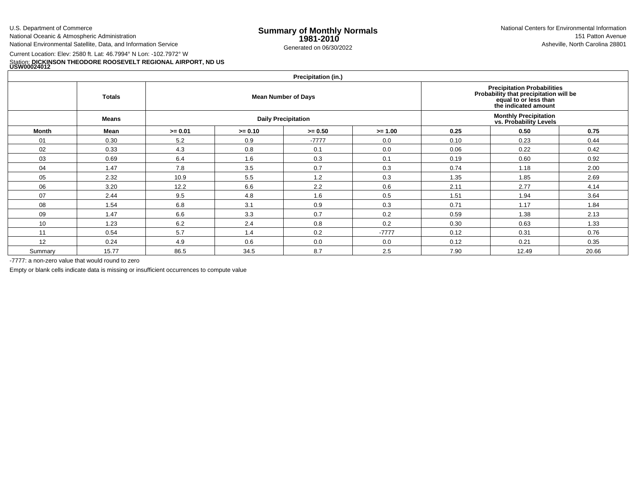U.S. Department of Commerce

National Oceanic & Atmospheric AdministrationNational Environmental Satellite, Data, and Information Service

Current Location: Elev: 2580 ft. Lat: 46.7994° N Lon: -102.7972° W

Station: **DICKINSON THEODORE ROOSEVELT REGIONAL AIRPORT, ND US USW00024012**

**Precipitation (in.)**

| <b>Trephanon</b> (m.) |               |           |           |                            |                                                                                                                               |                                                         |       |       |  |  |  |  |  |
|-----------------------|---------------|-----------|-----------|----------------------------|-------------------------------------------------------------------------------------------------------------------------------|---------------------------------------------------------|-------|-------|--|--|--|--|--|
|                       | <b>Totals</b> |           |           | <b>Mean Number of Days</b> | <b>Precipitation Probabilities</b><br>Probability that precipitation will be<br>equal to or less than<br>the indicated amount |                                                         |       |       |  |  |  |  |  |
|                       | <b>Means</b>  |           |           | <b>Daily Precipitation</b> |                                                                                                                               | <b>Monthly Precipitation<br/>vs. Probability Levels</b> |       |       |  |  |  |  |  |
| Month                 | Mean          | $>= 0.01$ | $>= 0.10$ | $>= 0.50$                  | $>= 1.00$                                                                                                                     | 0.25                                                    | 0.50  | 0.75  |  |  |  |  |  |
| 01                    | 0.30          | 5.2       | 0.9       | $-7777$                    | 0.0                                                                                                                           | 0.10                                                    | 0.23  | 0.44  |  |  |  |  |  |
| 02                    | 0.33          | 4.3       | 0.8       | 0.1                        | 0.0                                                                                                                           | 0.06                                                    | 0.22  | 0.42  |  |  |  |  |  |
| 03                    | 0.69          | 6.4       | 1.6       | 0.3                        | 0.1                                                                                                                           | 0.19                                                    | 0.60  | 0.92  |  |  |  |  |  |
| 04                    | 1.47          | 7.8       | 3.5       | 0.7                        | 0.3                                                                                                                           | 0.74                                                    | 1.18  | 2.00  |  |  |  |  |  |
| 05                    | 2.32          | 10.9      | 5.5       | 1.2                        | 0.3                                                                                                                           | 1.35                                                    | 1.85  | 2.69  |  |  |  |  |  |
| 06                    | 3.20          | 12.2      | 6.6       | 2.2                        | 0.6                                                                                                                           | 2.11                                                    | 2.77  | 4.14  |  |  |  |  |  |
| 07                    | 2.44          | 9.5       | 4.8       | 1.6                        | 0.5                                                                                                                           | 1.51                                                    | 1.94  | 3.64  |  |  |  |  |  |
| 08                    | 1.54          | 6.8       | 3.1       | 0.9                        | 0.3                                                                                                                           | 0.71                                                    | 1.17  | 1.84  |  |  |  |  |  |
| 09                    | 1.47          | 6.6       | 3.3       | 0.7                        | 0.2                                                                                                                           | 0.59                                                    | 1.38  | 2.13  |  |  |  |  |  |
| 10                    | 1.23          | 6.2       | 2.4       | 0.8                        | 0.2                                                                                                                           | 0.30                                                    | 0.63  | 1.33  |  |  |  |  |  |
| 11                    | 0.54          | 5.7       | 1.4       | 0.2                        | $-7777$                                                                                                                       | 0.12                                                    | 0.31  | 0.76  |  |  |  |  |  |
| 12                    | 0.24          | 4.9       | 0.6       | 0.0                        | 0.0                                                                                                                           | 0.12                                                    | 0.21  | 0.35  |  |  |  |  |  |
| Summary               | 15.77         | 86.5      | 34.5      | 8.7                        | 2.5                                                                                                                           | 7.90                                                    | 12.49 | 20.66 |  |  |  |  |  |

-7777: a non-zero value that would round to zero

Empty or blank cells indicate data is missing or insufficient occurrences to compute value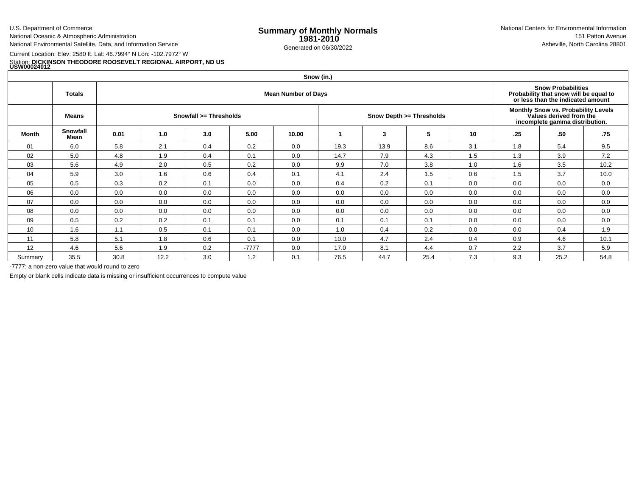U.S. Department of Commerce

National Oceanic & Atmospheric Administration

National Environmental Satellite, Data, and Information Service

## Current Location: Elev: 2580 ft. Lat: 46.7994° N Lon: -102.7972° WStation: **DICKINSON THEODORE ROOSEVELT REGIONAL AIRPORT, ND US USW00024012**

|              | Snow (in.)       |                            |      |                        |         |       |      |      |                          |     |                                                                                                  |      |                                                                                                          |  |  |  |
|--------------|------------------|----------------------------|------|------------------------|---------|-------|------|------|--------------------------|-----|--------------------------------------------------------------------------------------------------|------|----------------------------------------------------------------------------------------------------------|--|--|--|
|              | Totals           | <b>Mean Number of Days</b> |      |                        |         |       |      |      |                          |     |                                                                                                  |      | <b>Snow Probabilities</b><br>Probability that snow will be equal to<br>or less than the indicated amount |  |  |  |
|              | Means            |                            |      | Snowfall >= Thresholds |         |       |      |      | Snow Depth >= Thresholds |     | Monthly Snow vs. Probability Levels<br>Values derived from the<br>incomplete gamma distribution. |      |                                                                                                          |  |  |  |
| <b>Month</b> | Snowfall<br>Mean | 0.01                       | 1.0  | 3.0                    | 5.00    | 10.00 |      | 3    | 5                        | 10  | .25                                                                                              | .50  | .75                                                                                                      |  |  |  |
| 01           | 6.0              | 5.8                        | 2.1  | 0.4                    | 0.2     | 0.0   | 19.3 | 13.9 | 8.6                      | 3.1 | 1.8                                                                                              | 5.4  | 9.5                                                                                                      |  |  |  |
| 02           | 5.0              | 4.8                        | 1.9  | 0.4                    | 0.1     | 0.0   | 14.7 | 7.9  | 4.3                      | 1.5 | 1.3                                                                                              | 3.9  | 7.2                                                                                                      |  |  |  |
| 03           | 5.6              | 4.9                        | 2.0  | 0.5                    | 0.2     | 0.0   | 9.9  | 7.0  | 3.8                      | 1.0 | 1.6                                                                                              | 3.5  | 10.2                                                                                                     |  |  |  |
| 04           | 5.9              | 3.0                        | 1.6  | 0.6                    | 0.4     | 0.1   | 4.1  | 2.4  | 1.5                      | 0.6 | 1.5                                                                                              | 3.7  | 10.0                                                                                                     |  |  |  |
| 05           | 0.5              | 0.3                        | 0.2  | 0.1                    | 0.0     | 0.0   | 0.4  | 0.2  | 0.1                      | 0.0 | 0.0                                                                                              | 0.0  | 0.0                                                                                                      |  |  |  |
| 06           | 0.0              | 0.0                        | 0.0  | 0.0                    | 0.0     | 0.0   | 0.0  | 0.0  | 0.0                      | 0.0 | 0.0                                                                                              | 0.0  | 0.0                                                                                                      |  |  |  |
| 07           | 0.0              | 0.0                        | 0.0  | 0.0                    | 0.0     | 0.0   | 0.0  | 0.0  | 0.0                      | 0.0 | 0.0                                                                                              | 0.0  | 0.0                                                                                                      |  |  |  |
| 08           | 0.0              | 0.0                        | 0.0  | 0.0                    | 0.0     | 0.0   | 0.0  | 0.0  | 0.0                      | 0.0 | 0.0                                                                                              | 0.0  | 0.0                                                                                                      |  |  |  |
| 09           | 0.5              | 0.2                        | 0.2  | 0.1                    | 0.1     | 0.0   | 0.1  | 0.1  | 0.1                      | 0.0 | 0.0                                                                                              | 0.0  | 0.0                                                                                                      |  |  |  |
| 10           | 1.6              | 1.1                        | 0.5  | 0.1                    | 0.1     | 0.0   | 1.0  | 0.4  | 0.2                      | 0.0 | 0.0                                                                                              | 0.4  | 1.9                                                                                                      |  |  |  |
| 11           | 5.8              | 5.1                        | 1.8  | 0.6                    | 0.1     | 0.0   | 10.0 | 4.7  | 2.4                      | 0.4 | 0.9                                                                                              | 4.6  | 10.1                                                                                                     |  |  |  |
| 12           | 4.6              | 5.6                        | 1.9  | 0.2                    | $-7777$ | 0.0   | 17.0 | 8.1  | 4.4                      | 0.7 | 2.2                                                                                              | 3.7  | 5.9                                                                                                      |  |  |  |
| Summary      | 35.5             | 30.8                       | 12.2 | 3.0                    | 1.2     | 0.1   | 76.5 | 44.7 | 25.4                     | 7.3 | 9.3                                                                                              | 25.2 | 54.8                                                                                                     |  |  |  |

-7777: a non-zero value that would round to zero

Empty or blank cells indicate data is missing or insufficient occurrences to compute value